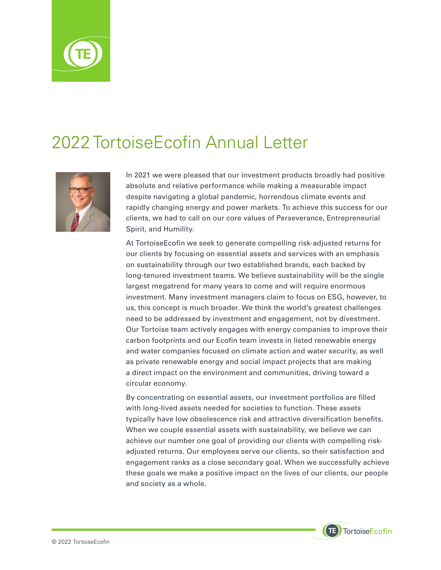

## 2022 TortoiseEcofin Annual Letter



In 2021 we were pleased that our investment products broadly had positive absolute and relative performance while making a measurable impact despite navigating a global pandemic, horrendous climate events and rapidly changing energy and power markets. To achieve this success for our clients, we had to call on our core values of Perseverance, Entrepreneurial Spirit, and Humility.

At TortoiseEcofin we seek to generate compelling risk-adjusted returns for our clients by focusing on essential assets and services with an emphasis on sustainability through our two established brands, each backed by long-tenured investment teams. We believe sustainability will be the single largest megatrend for many years to come and will require enormous investment. Many investment managers claim to focus on ESG, however, to us, this concept is much broader. We think the world's greatest challenges need to be addressed by investment and engagement, not by divestment. Our Tortoise team actively engages with energy companies to improve their carbon footprints and our Ecofin team invests in listed renewable energy and water companies focused on climate action and water security, as well as private renewable energy and social impact projects that are making a direct impact on the environment and communities, driving toward a circular economy.

By concentrating on essential assets, our investment portfolios are filled with long-lived assets needed for societies to function. These assets typically have low obsolescence risk and attractive diversification benefits. When we couple essential assets with sustainability, we believe we can achieve our number one goal of providing our clients with compelling riskadjusted returns. Our employees serve our clients, so their satisfaction and engagement ranks as a close secondary goal. When we successfully achieve these goals we make a positive impact on the lives of our clients, our people and society as a whole.

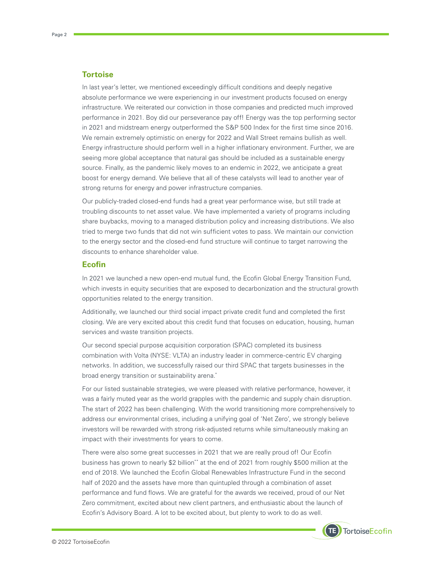## **Tortoise**

In last year's letter, we mentioned exceedingly difficult conditions and deeply negative absolute performance we were experiencing in our investment products focused on energy infrastructure. We reiterated our conviction in those companies and predicted much improved performance in 2021. Boy did our perseverance pay off! Energy was the top performing sector in 2021 and midstream energy outperformed the S&P 500 Index for the first time since 2016. We remain extremely optimistic on energy for 2022 and Wall Street remains bullish as well. Energy infrastructure should perform well in a higher inflationary environment. Further, we are seeing more global acceptance that natural gas should be included as a sustainable energy source. Finally, as the pandemic likely moves to an endemic in 2022, we anticipate a great boost for energy demand. We believe that all of these catalysts will lead to another year of strong returns for energy and power infrastructure companies.

Our publicly-traded closed-end funds had a great year performance wise, but still trade at troubling discounts to net asset value. We have implemented a variety of programs including share buybacks, moving to a managed distribution policy and increasing distributions. We also tried to merge two funds that did not win sufficient votes to pass. We maintain our conviction to the energy sector and the closed-end fund structure will continue to target narrowing the discounts to enhance shareholder value.

## **Ecofin**

In 2021 we launched a new open-end mutual fund, the Ecofin Global Energy Transition Fund, which invests in equity securities that are exposed to decarbonization and the structural growth opportunities related to the energy transition.

Additionally, we launched our third social impact private credit fund and completed the first closing. We are very excited about this credit fund that focuses on education, housing, human services and waste transition projects.

Our second special purpose acquisition corporation (SPAC) completed its business combination with Volta (NYSE: VLTA) an industry leader in commerce-centric EV charging networks. In addition, we successfully raised our third SPAC that targets businesses in the broad energy transition or sustainability arena.\*

For our listed sustainable strategies, we were pleased with relative performance, however, it was a fairly muted year as the world grapples with the pandemic and supply chain disruption. The start of 2022 has been challenging. With the world transitioning more comprehensively to address our environmental crises, including a unifying goal of 'Net Zero', we strongly believe investors will be rewarded with strong risk-adjusted returns while simultaneously making an impact with their investments for years to come.

There were also some great successes in 2021 that we are really proud of! Our Ecofin business has grown to nearly \$2 billion\*\* at the end of 2021 from roughly \$500 million at the end of 2018. We launched the Ecofin Global Renewables Infrastructure Fund in the second half of 2020 and the assets have more than quintupled through a combination of asset performance and fund flows. We are grateful for the awards we received, proud of our Net Zero commitment, excited about new client partners, and enthusiastic about the launch of Ecofin's Advisory Board. A lot to be excited about, but plenty to work to do as well.